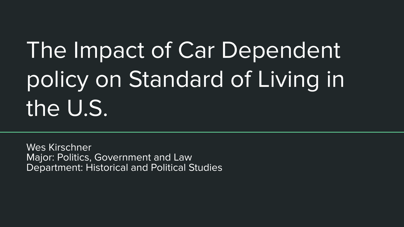# The Impact of Car Dependent policy on Standard of Living in the U.S.

Wes Kirschner Major: Politics, Government and Law Department: Historical and Political Studies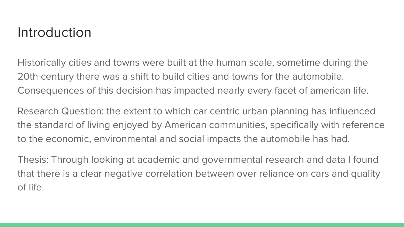### Introduction

Historically cities and towns were built at the human scale, sometime during the 20th century there was a shift to build cities and towns for the automobile. Consequences of this decision has impacted nearly every facet of american life.

Research Question: the extent to which car centric urban planning has influenced the standard of living enjoyed by American communities, specifically with reference to the economic, environmental and social impacts the automobile has had.

Thesis: Through looking at academic and governmental research and data I found that there is a clear negative correlation between over reliance on cars and quality of life.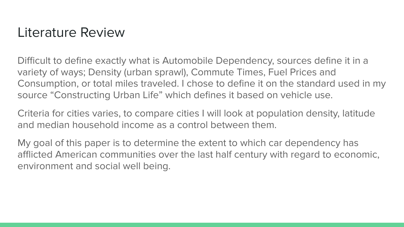### Literature Review

Difficult to define exactly what is Automobile Dependency, sources define it in a variety of ways; Density (urban sprawl), Commute Times, Fuel Prices and Consumption, or total miles traveled. I chose to define it on the standard used in my source "Constructing Urban Life" which defines it based on vehicle use.

Criteria for cities varies, to compare cities I will look at population density, latitude and median household income as a control between them.

My goal of this paper is to determine the extent to which car dependency has afflicted American communities over the last half century with regard to economic, environment and social well being.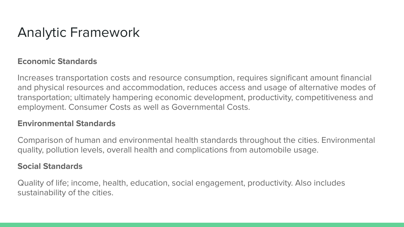# Analytic Framework

#### **Economic Standards**

Increases transportation costs and resource consumption, requires significant amount financial and physical resources and accommodation, reduces access and usage of alternative modes of transportation; ultimately hampering economic development, productivity, competitiveness and employment. Consumer Costs as well as Governmental Costs.

#### **Environmental Standards**

Comparison of human and environmental health standards throughout the cities. Environmental quality, pollution levels, overall health and complications from automobile usage.

#### **Social Standards**

Quality of life; income, health, education, social engagement, productivity. Also includes sustainability of the cities.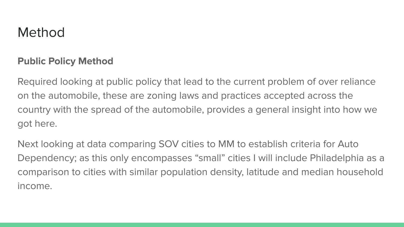### **Method**

#### **Public Policy Method**

Required looking at public policy that lead to the current problem of over reliance on the automobile, these are zoning laws and practices accepted across the country with the spread of the automobile, provides a general insight into how we got here.

Next looking at data comparing SOV cities to MM to establish criteria for Auto Dependency; as this only encompasses "small" cities I will include Philadelphia as a comparison to cities with similar population density, latitude and median household income.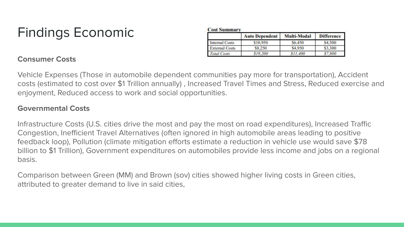# Findings Economic

| <b>Cost Summary</b>   |                       |                       |                   |
|-----------------------|-----------------------|-----------------------|-------------------|
|                       | <b>Auto Dependent</b> | Multi-Modal           | <b>Difference</b> |
| Internal Costs        | \$10,950              | S <sub>6</sub> 450    | \$4,500           |
| <b>External Costs</b> | \$8,250               | \$4,950               | \$3,300           |
| <b>Total Costs</b>    | \$19,200              | S <sub>II</sub> , 400 | 7.800             |

#### **Consumer Costs**

Vehicle Expenses (Those in automobile dependent communities pay more for transportation), Accident costs (estimated to cost over \$1 Trillion annually) , Increased Travel Times and Stress, Reduced exercise and enjoyment, Reduced access to work and social opportunities.

 $C_1$  and  $C_2$  and  $C_3$  and  $C_4$ 

#### **Governmental Costs**

Infrastructure Costs (U.S. cities drive the most and pay the most on road expenditures), Increased Traffic Congestion, Inefficient Travel Alternatives (often ignored in high automobile areas leading to positive feedback loop), Pollution (climate mitigation efforts estimate a reduction in vehicle use would save \$78 billion to \$1 Trillion), Government expenditures on automobiles provide less income and jobs on a regional basis.

Comparison between Green (MM) and Brown (sov) cities showed higher living costs in Green cities, attributed to greater demand to live in said cities,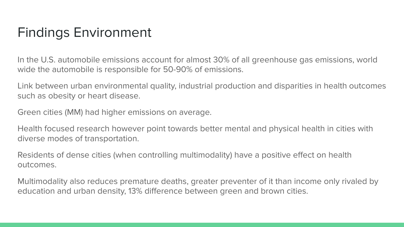## Findings Environment

In the U.S. automobile emissions account for almost 30% of all greenhouse gas emissions, world wide the automobile is responsible for 50-90% of emissions.

Link between urban environmental quality, industrial production and disparities in health outcomes such as obesity or heart disease.

Green cities (MM) had higher emissions on average.

Health focused research however point towards better mental and physical health in cities with diverse modes of transportation.

Residents of dense cities (when controlling multimodality) have a positive effect on health outcomes.

Multimodality also reduces premature deaths, greater preventer of it than income only rivaled by education and urban density, 13% difference between green and brown cities.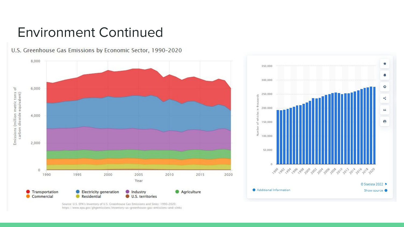### Environment Continued

U.S. Greenhouse Gas Emissions by Economic Sector, 1990-2020 8,000 6,000 Emissions (million metric tons of<br>carbon dioxide equivalent) 4,000 2,000  $\circ$ 1990 1995 2000 2005 2010 2015 2020 Year **Transportation** Electricity generation Industry Agriculture Commercial Residential U.S. territories

 $\star$ 350,000 ۸ 300,000 ö 250,000 k, 200,000  $66$  $\theta$ 150,000 ď Number 100,000 50,000  $\alpha$ © Statista 2022 ₱ Additional Information Show source O

Source: U.S. EPA's Inventory of U.S. Greenhouse Gas Emissions and Sinks: 1990-2020. https://www.epa.gov/ghgemissions/inventory-us-greenhouse-gas-emissions-and-sinks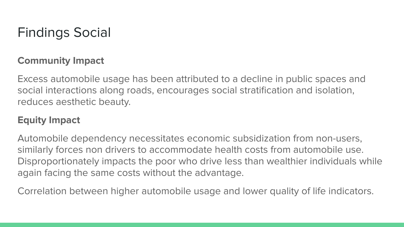## Findings Social

#### **Community Impact**

Excess automobile usage has been attributed to a decline in public spaces and social interactions along roads, encourages social stratification and isolation, reduces aesthetic beauty.

#### **Equity Impact**

Automobile dependency necessitates economic subsidization from non-users, similarly forces non drivers to accommodate health costs from automobile use. Disproportionately impacts the poor who drive less than wealthier individuals while again facing the same costs without the advantage.

Correlation between higher automobile usage and lower quality of life indicators.